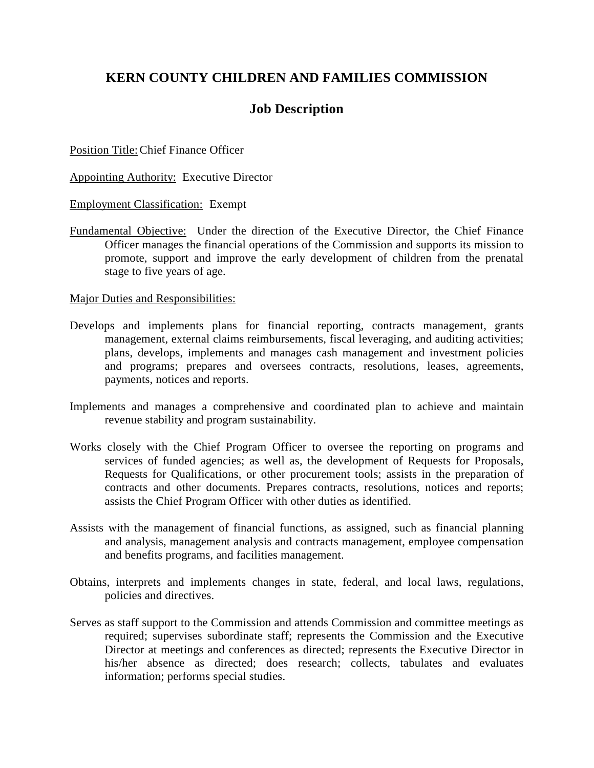# **KERN COUNTY CHILDREN AND FAMILIES COMMISSION**

## **Job Description**

Position Title:Chief Finance Officer

Appointing Authority: Executive Director

Employment Classification: Exempt

Fundamental Objective: Under the direction of the Executive Director, the Chief Finance Officer manages the financial operations of the Commission and supports its mission to promote, support and improve the early development of children from the prenatal stage to five years of age.

Major Duties and Responsibilities:

- Develops and implements plans for financial reporting, contracts management, grants management, external claims reimbursements, fiscal leveraging, and auditing activities; plans, develops, implements and manages cash management and investment policies and programs; prepares and oversees contracts, resolutions, leases, agreements, payments, notices and reports.
- Implements and manages a comprehensive and coordinated plan to achieve and maintain revenue stability and program sustainability.
- Works closely with the Chief Program Officer to oversee the reporting on programs and services of funded agencies; as well as, the development of Requests for Proposals, Requests for Qualifications, or other procurement tools; assists in the preparation of contracts and other documents. Prepares contracts, resolutions, notices and reports; assists the Chief Program Officer with other duties as identified.
- Assists with the management of financial functions, as assigned, such as financial planning and analysis, management analysis and contracts management, employee compensation and benefits programs, and facilities management.
- Obtains, interprets and implements changes in state, federal, and local laws, regulations, policies and directives.
- Serves as staff support to the Commission and attends Commission and committee meetings as required; supervises subordinate staff; represents the Commission and the Executive Director at meetings and conferences as directed; represents the Executive Director in his/her absence as directed; does research; collects, tabulates and evaluates information; performs special studies.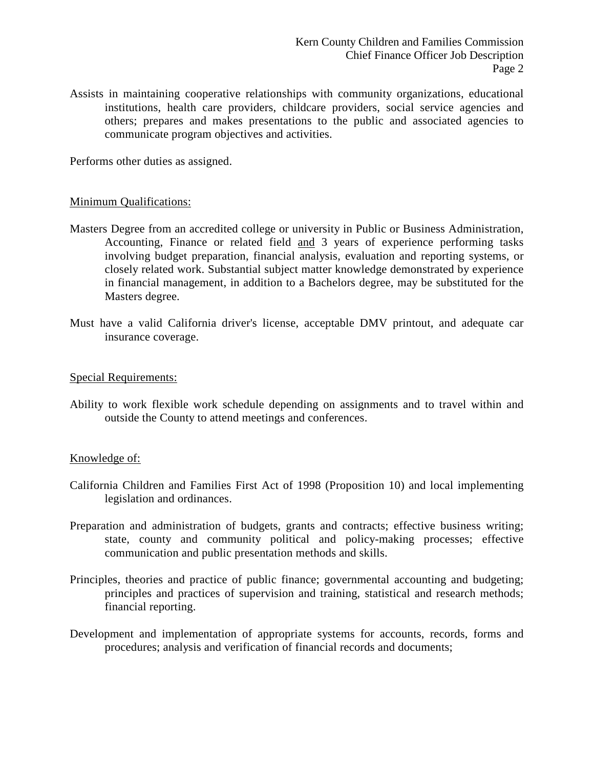Assists in maintaining cooperative relationships with community organizations, educational institutions, health care providers, childcare providers, social service agencies and others; prepares and makes presentations to the public and associated agencies to communicate program objectives and activities.

Performs other duties as assigned.

#### Minimum Qualifications:

- Masters Degree from an accredited college or university in Public or Business Administration, Accounting, Finance or related field and 3 years of experience performing tasks involving budget preparation, financial analysis, evaluation and reporting systems, or closely related work. Substantial subject matter knowledge demonstrated by experience in financial management, in addition to a Bachelors degree, may be substituted for the Masters degree.
- Must have a valid California driver's license, acceptable DMV printout, and adequate car insurance coverage.

#### Special Requirements:

Ability to work flexible work schedule depending on assignments and to travel within and outside the County to attend meetings and conferences.

### Knowledge of:

- California Children and Families First Act of 1998 (Proposition 10) and local implementing legislation and ordinances.
- Preparation and administration of budgets, grants and contracts; effective business writing; state, county and community political and policy-making processes; effective communication and public presentation methods and skills.
- Principles, theories and practice of public finance; governmental accounting and budgeting; principles and practices of supervision and training, statistical and research methods; financial reporting.
- Development and implementation of appropriate systems for accounts, records, forms and procedures; analysis and verification of financial records and documents;